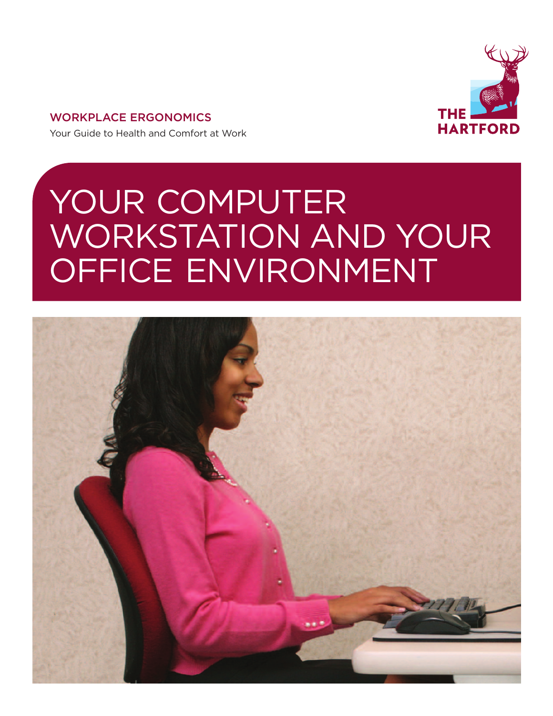

#### **WORKPLACE ERGONOMICS**

Your Guide to Health and Comfort at Work

# YOUR COMPUTER WORKSTATION AND YOUR OFFICE ENVIRONMENT

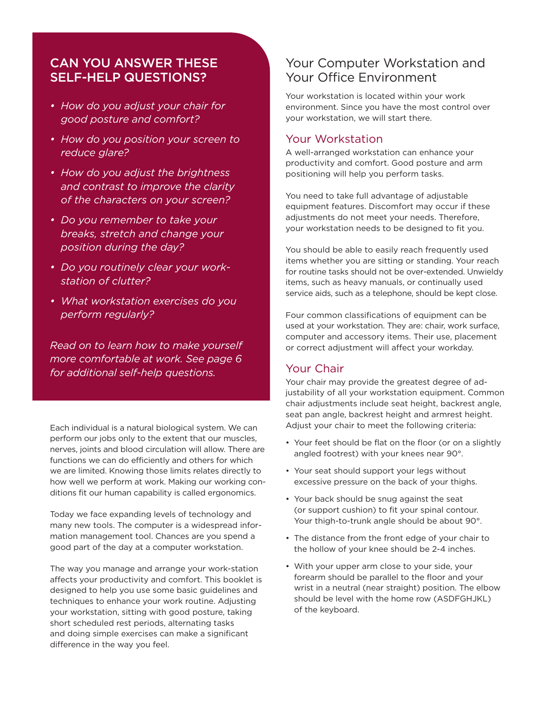## **CAN YOU ANSWER THESE SELF-HELP QUESTIONS?**

- *• How do you adjust your chair for good posture and comfort?*
- *• How do you position your screen to reduce glare?*
- *• How do you adjust the brightness and contrast to improve the clarity of the characters on your screen?*
- *• Do you remember to take your breaks, stretch and change your position during the day?*
- *• Do you routinely clear your workstation of clutter?*
- *• What workstation exercises do you perform regularly?*

*Read on to learn how to make yourself more comfortable at work. See page 6 for additional self-help questions.*

Each individual is a natural biological system. We can perform our jobs only to the extent that our muscles, nerves, joints and blood circulation will allow. There are functions we can do efficiently and others for which we are limited. Knowing those limits relates directly to how well we perform at work. Making our working conditions fit our human capability is called ergonomics.

Today we face expanding levels of technology and many new tools. The computer is a widespread information management tool. Chances are you spend a good part of the day at a computer workstation.

The way you manage and arrange your work-station affects your productivity and comfort. This booklet is designed to help you use some basic guidelines and techniques to enhance your work routine. Adjusting your workstation, sitting with good posture, taking short scheduled rest periods, alternating tasks and doing simple exercises can make a significant difference in the way you feel.

## Your Computer Workstation and Your Office Environment

Your workstation is located within your work environment. Since you have the most control over your workstation, we will start there.

#### Your Workstation

A well-arranged workstation can enhance your productivity and comfort. Good posture and arm positioning will help you perform tasks.

You need to take full advantage of adjustable equipment features. Discomfort may occur if these adjustments do not meet your needs. Therefore, your workstation needs to be designed to fit you.

You should be able to easily reach frequently used items whether you are sitting or standing. Your reach for routine tasks should not be over-extended. Unwieldy items, such as heavy manuals, or continually used service aids, such as a telephone, should be kept close.

Four common classifications of equipment can be used at your workstation. They are: chair, work surface, computer and accessory items. Their use, placement or correct adjustment will affect your workday.

## Your Chair

Your chair may provide the greatest degree of adjustability of all your workstation equipment. Common chair adjustments include seat height, backrest angle, seat pan angle, backrest height and armrest height. Adjust your chair to meet the following criteria:

- Your feet should be flat on the floor (or on a slightly angled footrest) with your knees near 90°.
- Your seat should support your legs without excessive pressure on the back of your thighs.
- Your back should be snug against the seat (or support cushion) to fit your spinal contour. Your thigh-to-trunk angle should be about 90°.
- The distance from the front edge of your chair to the hollow of your knee should be 2-4 inches.
- With your upper arm close to your side, your forearm should be parallel to the floor and your wrist in a neutral (near straight) position. The elbow should be level with the home row (ASDFGHJKL) of the keyboard.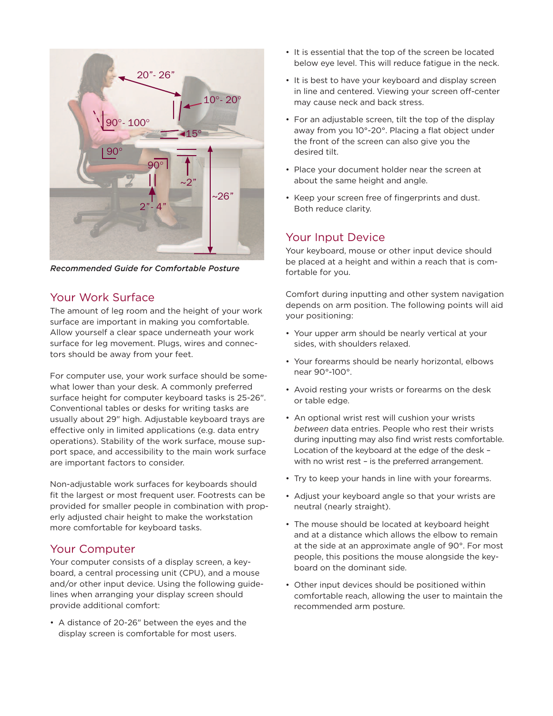

*Recommended Guide for Comfortable Posture*

#### Your Work Surface

The amount of leg room and the height of your work surface are important in making you comfortable. Allow yourself a clear space underneath your work surface for leg movement. Plugs, wires and connectors should be away from your feet.

For computer use, your work surface should be somewhat lower than your desk. A commonly preferred surface height for computer keyboard tasks is 25-26". Conventional tables or desks for writing tasks are usually about 29" high. Adjustable keyboard trays are effective only in limited applications (e.g. data entry operations). Stability of the work surface, mouse support space, and accessibility to the main work surface are important factors to consider.

Non-adjustable work surfaces for keyboards should fit the largest or most frequent user. Footrests can be provided for smaller people in combination with properly adjusted chair height to make the workstation more comfortable for keyboard tasks.

## Your Computer

Your computer consists of a display screen, a keyboard, a central processing unit (CPU), and a mouse and/or other input device. Using the following guidelines when arranging your display screen should provide additional comfort:

• A distance of 20-26" between the eyes and the display screen is comfortable for most users.

- It is essential that the top of the screen be located below eye level. This will reduce fatigue in the neck.
- It is best to have your keyboard and display screen in line and centered. Viewing your screen off-center may cause neck and back stress.
- For an adjustable screen, tilt the top of the display away from you 10°-20°. Placing a flat object under the front of the screen can also give you the desired tilt.
- Place your document holder near the screen at about the same height and angle.
- Keep your screen free of fingerprints and dust. Both reduce clarity.

## Your Input Device

Your keyboard, mouse or other input device should be placed at a height and within a reach that is comfortable for you.

Comfort during inputting and other system navigation depends on arm position. The following points will aid your positioning:

- Your upper arm should be nearly vertical at your sides, with shoulders relaxed.
- Your forearms should be nearly horizontal, elbows near 90°-100°.
- Avoid resting your wrists or forearms on the desk or table edge.
- An optional wrist rest will cushion your wrists *between* data entries. People who rest their wrists during inputting may also find wrist rests comfortable. Location of the keyboard at the edge of the desk – with no wrist rest – is the preferred arrangement.
- Try to keep your hands in line with your forearms.
- Adjust your keyboard angle so that your wrists are neutral (nearly straight).
- The mouse should be located at keyboard height and at a distance which allows the elbow to remain at the side at an approximate angle of 90°. For most people, this positions the mouse alongside the keyboard on the dominant side.
- Other input devices should be positioned within comfortable reach, allowing the user to maintain the recommended arm posture.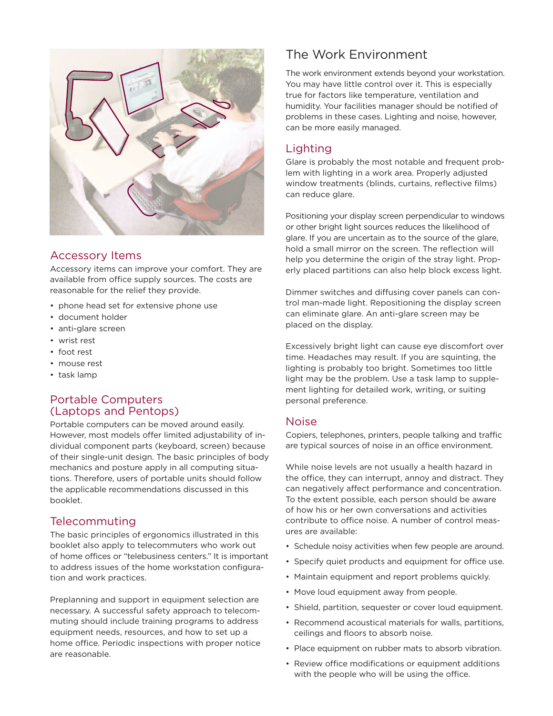

#### Accessory Items

Accessory items can improve your comfort. They are available from office supply sources. The costs are reasonable for the relief they provide.

- phone head set for extensive phone use
- document holder
- anti-glare screen
- wrist rest
- foot rest
- mouse rest
- task lamp

#### Portable Computers (Laptops and Pentops)

Portable computers can be moved around easily. However, most models offer limited adjustability of individual component parts (keyboard, screen) because of their single-unit design. The basic principles of body mechanics and posture apply in all computing situations. Therefore, users of portable units should follow the applicable recommendations discussed in this booklet.

## Telecommuting

The basic principles of ergonomics illustrated in this booklet also apply to telecommuters who work out of home offices or "telebusiness centers." It is important to address issues of the home workstation configuration and work practices.

Preplanning and support in equipment selection are necessary. A successful safety approach to telecommuting should include training programs to address equipment needs, resources, and how to set up a home office. Periodic inspections with proper notice are reasonable.

## The Work Environment

The work environment extends beyond your workstation. You may have little control over it. This is especially true for factors like temperature, ventilation and humidity. Your facilities manager should be notified of problems in these cases. Lighting and noise, however, can be more easily managed.

#### Lighting

Glare is probably the most notable and frequent problem with lighting in a work area. Properly adjusted window treatments (blinds, curtains, reflective films) can reduce glare.

Positioning your display screen perpendicular to windows or other bright light sources reduces the likelihood of glare. If you are uncertain as to the source of the glare, hold a small mirror on the screen. The reflection will help you determine the origin of the stray light. Properly placed partitions can also help block excess light.

Dimmer switches and diffusing cover panels can control man-made light. Repositioning the display screen can eliminate glare. An anti-glare screen may be placed on the display.

Excessively bright light can cause eye discomfort over time. Headaches may result. If you are squinting, the lighting is probably too bright. Sometimes too little light may be the problem. Use a task lamp to supplement lighting for detailed work, writing, or suiting personal preference.

#### Noise

Copiers, telephones, printers, people talking and traffic are typical sources of noise in an office environment.

While noise levels are not usually a health hazard in the office, they can interrupt, annoy and distract. They can negatively affect performance and concentration. To the extent possible, each person should be aware of how his or her own conversations and activities contribute to office noise. A number of control measures are available:

- Schedule noisy activities when few people are around.
- Specify quiet products and equipment for office use.
- Maintain equipment and report problems quickly.
- Move loud equipment away from people.
- Shield, partition, sequester or cover loud equipment.
- Recommend acoustical materials for walls, partitions, ceilings and floors to absorb noise.
- Place equipment on rubber mats to absorb vibration.
- Review office modifications or equipment additions with the people who will be using the office.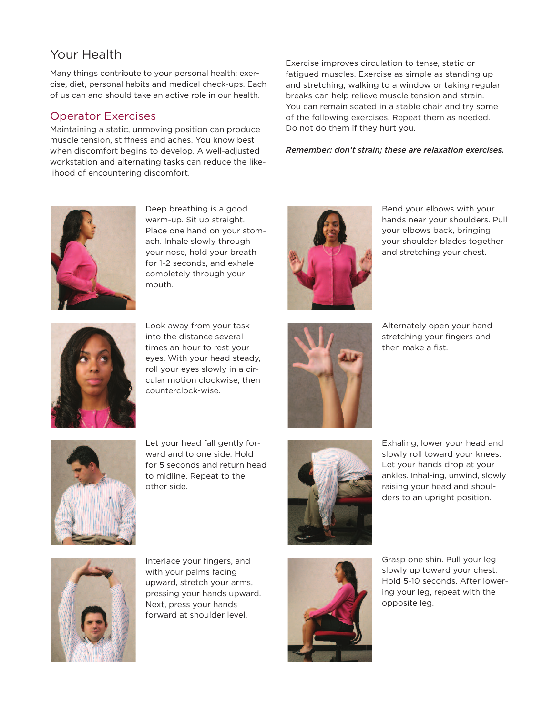## Your Health

Many things contribute to your personal health: exercise, diet, personal habits and medical check-ups. Each of us can and should take an active role in our health.

## Operator Exercises

Maintaining a static, unmoving position can produce muscle tension, stiffness and aches. You know best when discomfort begins to develop. A well-adjusted workstation and alternating tasks can reduce the likelihood of encountering discomfort.

Exercise improves circulation to tense, static or fatigued muscles. Exercise as simple as standing up and stretching, walking to a window or taking regular breaks can help relieve muscle tension and strain. You can remain seated in a stable chair and try some of the following exercises. Repeat them as needed. Do not do them if they hurt you.

*Remember: don't strain; these are relaxation exercises.*



Deep breathing is a good warm-up. Sit up straight. Place one hand on your stomach. Inhale slowly through your nose, hold your breath for 1-2 seconds, and exhale completely through your mouth.



Look away from your task into the distance several times an hour to rest your eyes. With your head steady, roll your eyes slowly in a circular motion clockwise, then counterclock-wise.



Bend your elbows with your hands near your shoulders. Pull your elbows back, bringing your shoulder blades together and stretching your chest.



Alternately open your hand stretching your fingers and then make a fist.



Let your head fall gently forward and to one side. Hold for 5 seconds and return head to midline. Repeat to the other side.



Exhaling, lower your head and slowly roll toward your knees. Let your hands drop at your ankles. Inhal-ing, unwind, slowly raising your head and shoulders to an upright position.



Interlace your fingers, and with your palms facing upward, stretch your arms, pressing your hands upward. Next, press your hands forward at shoulder level.



Grasp one shin. Pull your leg slowly up toward your chest. Hold 5-10 seconds. After lowering your leg, repeat with the opposite leg.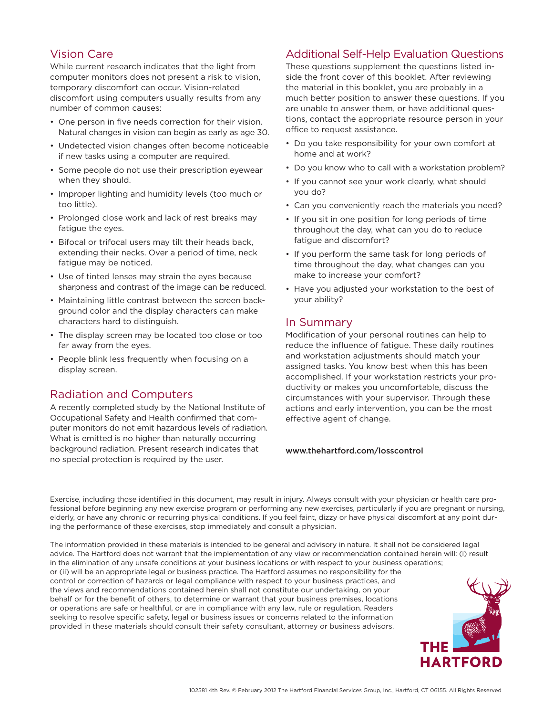## Vision Care

While current research indicates that the light from computer monitors does not present a risk to vision, temporary discomfort can occur. Vision-related discomfort using computers usually results from any number of common causes:

- One person in five needs correction for their vision. Natural changes in vision can begin as early as age 30.
- Undetected vision changes often become noticeable if new tasks using a computer are required.
- Some people do not use their prescription eyewear when they should.
- Improper lighting and humidity levels (too much or too little).
- Prolonged close work and lack of rest breaks may fatigue the eyes.
- Bifocal or trifocal users may tilt their heads back, extending their necks. Over a period of time, neck fatigue may be noticed.
- Use of tinted lenses may strain the eyes because sharpness and contrast of the image can be reduced.
- Maintaining little contrast between the screen background color and the display characters can make characters hard to distinguish.
- The display screen may be located too close or too far away from the eyes.
- People blink less frequently when focusing on a display screen.

#### Radiation and Computers

A recently completed study by the National Institute of Occupational Safety and Health confirmed that computer monitors do not emit hazardous levels of radiation. What is emitted is no higher than naturally occurring background radiation. Present research indicates that no special protection is required by the user.

## Additional Self-Help Evaluation Questions

These questions supplement the questions listed inside the front cover of this booklet. After reviewing the material in this booklet, you are probably in a much better position to answer these questions. If you are unable to answer them, or have additional questions, contact the appropriate resource person in your office to request assistance.

- Do you take responsibility for your own comfort at home and at work?
- Do you know who to call with a workstation problem?
- If you cannot see your work clearly, what should you do?
- Can you conveniently reach the materials you need?
- If you sit in one position for long periods of time throughout the day, what can you do to reduce fatigue and discomfort?
- If you perform the same task for long periods of time throughout the day, what changes can you make to increase your comfort?
- Have you adjusted your workstation to the best of your ability?

#### In Summary

Modification of your personal routines can help to reduce the influence of fatigue. These daily routines and workstation adjustments should match your assigned tasks. You know best when this has been accomplished. If your workstation restricts your productivity or makes you uncomfortable, discuss the circumstances with your supervisor. Through these actions and early intervention, you can be the most effective agent of change.

#### **www.thehartford.com/losscontrol**

Exercise, including those identified in this document, may result in injury. Always consult with your physician or health care professional before beginning any new exercise program or performing any new exercises, particularly if you are pregnant or nursing, elderly, or have any chronic or recurring physical conditions. If you feel faint, dizzy or have physical discomfort at any point during the performance of these exercises, stop immediately and consult a physician.

The information provided in these materials is intended to be general and advisory in nature. It shall not be considered legal advice. The Hartford does not warrant that the implementation of any view or recommendation contained herein will: (i) result in the elimination of any unsafe conditions at your business locations or with respect to your business operations; or (ii) will be an appropriate legal or business practice. The Hartford assumes no responsibility for the control or correction of hazards or legal compliance with respect to your business practices, and the views and recommendations contained herein shall not constitute our undertaking, on your behalf or for the benefit of others, to determine or warrant that your business premises, locations or operations are safe or healthful, or are in compliance with any law, rule or regulation. Readers seeking to resolve specific safety, legal or business issues or concerns related to the information provided in these materials should consult their safety consultant, attorney or business advisors.